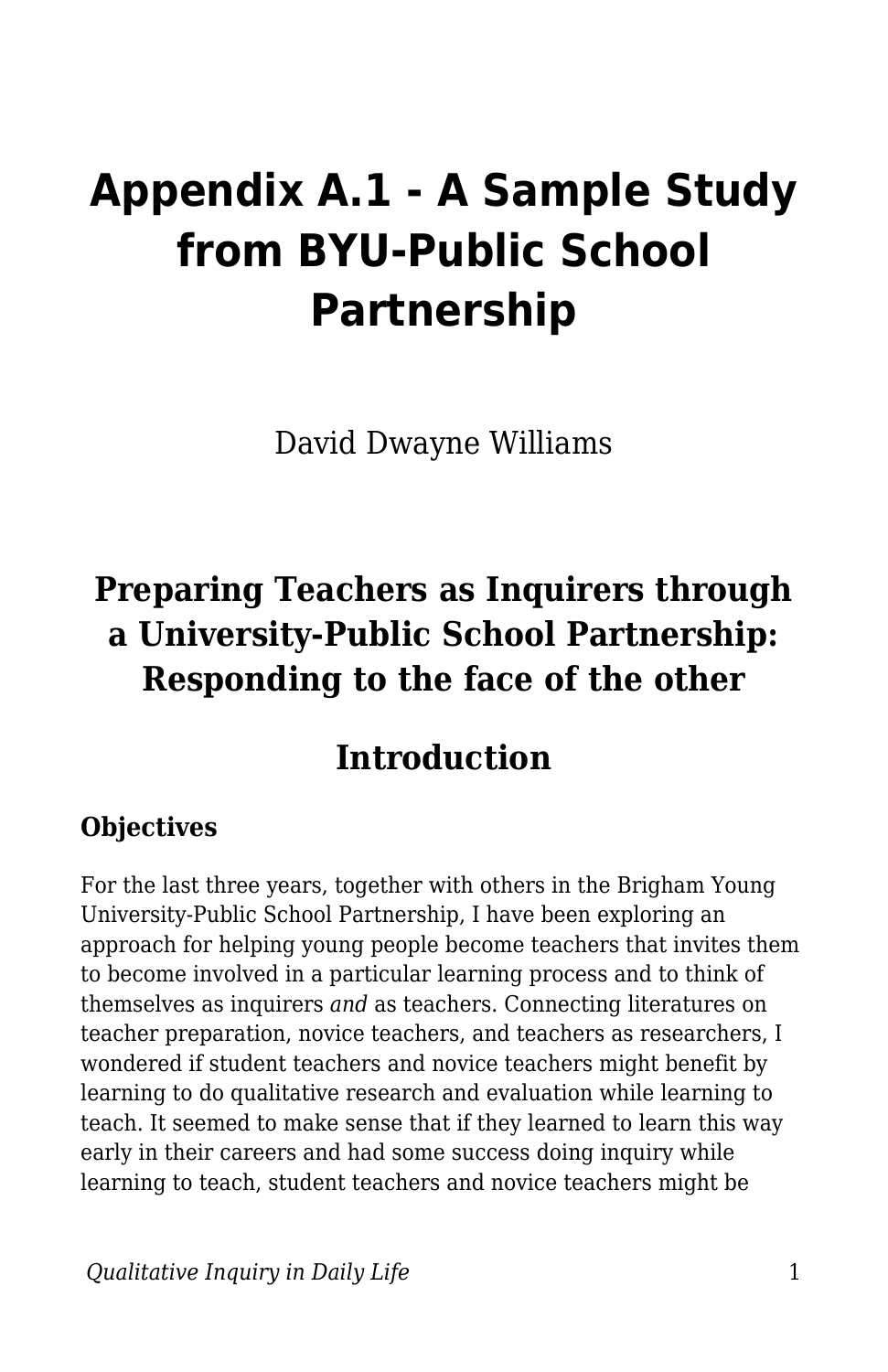# **Appendix A.1 - A Sample Study from BYU-Public School Partnership**

David Dwayne Williams

## **Preparing Teachers as Inquirers through a University-Public School Partnership: Responding to the face of the other**

## **Introduction**

#### **Objectives**

For the last three years, together with others in the Brigham Young University-Public School Partnership, I have been exploring an approach for helping young people become teachers that invites them to become involved in a particular learning process and to think of themselves as inquirers *and* as teachers. Connecting literatures on teacher preparation, novice teachers, and teachers as researchers, I wondered if student teachers and novice teachers might benefit by learning to do qualitative research and evaluation while learning to teach. It seemed to make sense that if they learned to learn this way early in their careers and had some success doing inquiry while learning to teach, student teachers and novice teachers might be

*<u>Dualitative Inquiry in Daily Life</u> 1*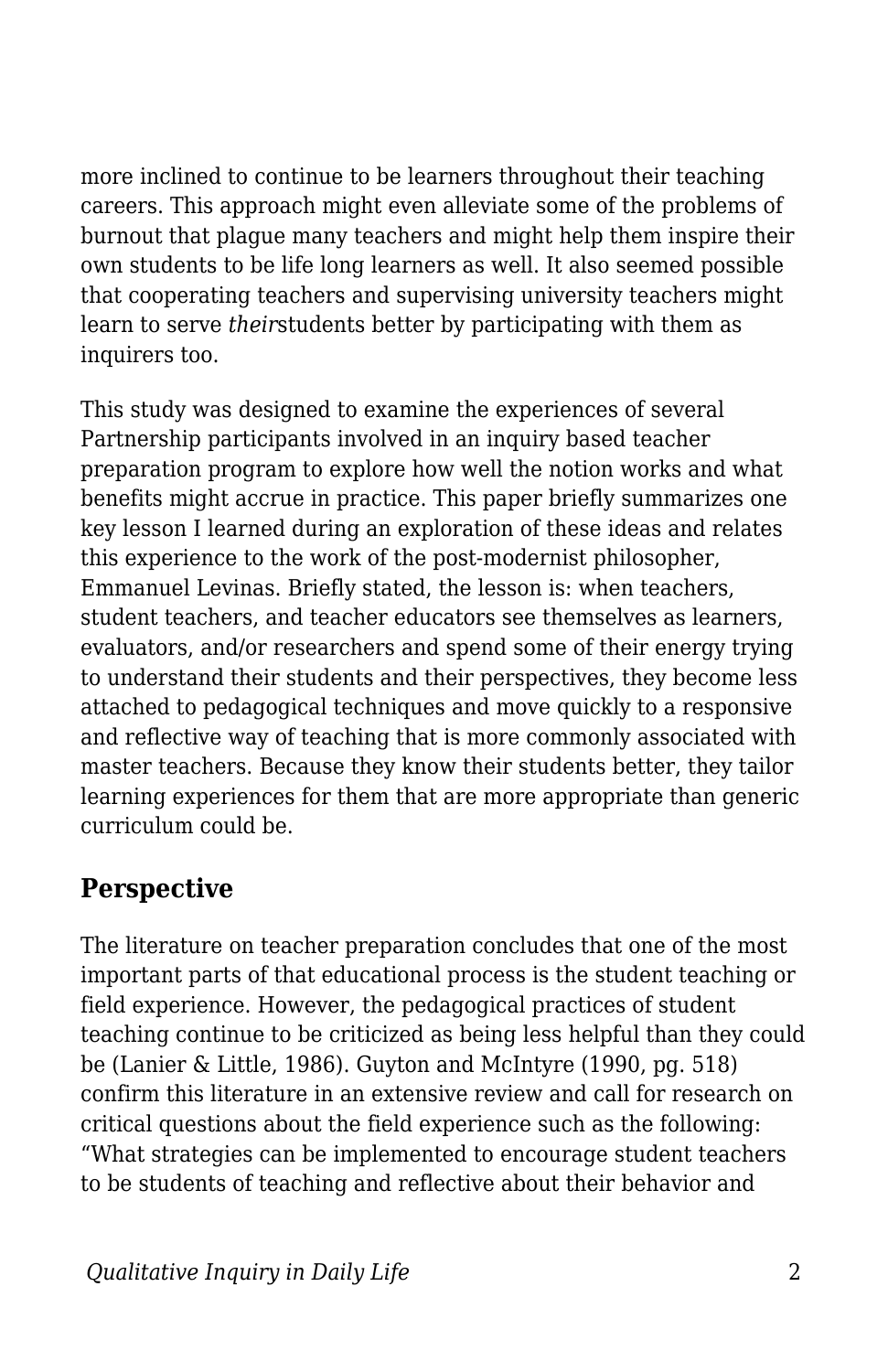more inclined to continue to be learners throughout their teaching careers. This approach might even alleviate some of the problems of burnout that plague many teachers and might help them inspire their own students to be life long learners as well. It also seemed possible that cooperating teachers and supervising university teachers might learn to serve *their*students better by participating with them as inquirers too.

This study was designed to examine the experiences of several Partnership participants involved in an inquiry based teacher preparation program to explore how well the notion works and what benefits might accrue in practice. This paper briefly summarizes one key lesson I learned during an exploration of these ideas and relates this experience to the work of the post-modernist philosopher, Emmanuel Levinas. Briefly stated, the lesson is: when teachers, student teachers, and teacher educators see themselves as learners, evaluators, and/or researchers and spend some of their energy trying to understand their students and their perspectives, they become less attached to pedagogical techniques and move quickly to a responsive and reflective way of teaching that is more commonly associated with master teachers. Because they know their students better, they tailor learning experiences for them that are more appropriate than generic curriculum could be.

#### **Perspective**

The literature on teacher preparation concludes that one of the most important parts of that educational process is the student teaching or field experience. However, the pedagogical practices of student teaching continue to be criticized as being less helpful than they could be (Lanier & Little, 1986). Guyton and McIntyre (1990, pg. 518) confirm this literature in an extensive review and call for research on critical questions about the field experience such as the following: "What strategies can be implemented to encourage student teachers to be students of teaching and reflective about their behavior and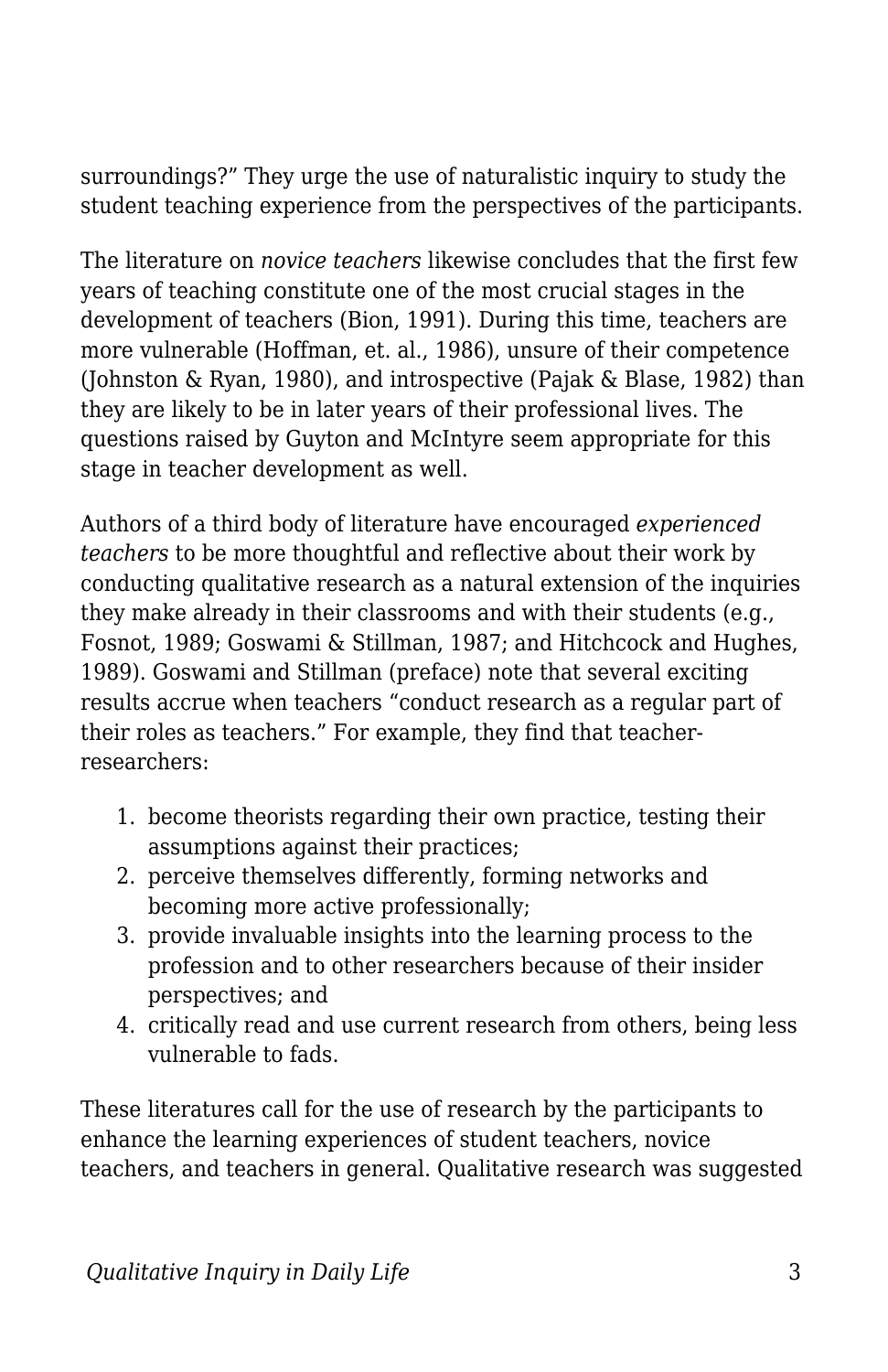surroundings?" They urge the use of naturalistic inquiry to study the student teaching experience from the perspectives of the participants.

The literature on *novice teachers* likewise concludes that the first few years of teaching constitute one of the most crucial stages in the development of teachers (Bion, 1991). During this time, teachers are more vulnerable (Hoffman, et. al., 1986), unsure of their competence (Johnston & Ryan, 1980), and introspective (Pajak & Blase, 1982) than they are likely to be in later years of their professional lives. The questions raised by Guyton and McIntyre seem appropriate for this stage in teacher development as well.

Authors of a third body of literature have encouraged *experienced teachers* to be more thoughtful and reflective about their work by conducting qualitative research as a natural extension of the inquiries they make already in their classrooms and with their students (e.g., Fosnot, 1989; Goswami & Stillman, 1987; and Hitchcock and Hughes, 1989). Goswami and Stillman (preface) note that several exciting results accrue when teachers "conduct research as a regular part of their roles as teachers." For example, they find that teacherresearchers:

- 1. become theorists regarding their own practice, testing their assumptions against their practices;
- 2. perceive themselves differently, forming networks and becoming more active professionally;
- 3. provide invaluable insights into the learning process to the profession and to other researchers because of their insider perspectives; and
- 4. critically read and use current research from others, being less vulnerable to fads.

These literatures call for the use of research by the participants to enhance the learning experiences of student teachers, novice teachers, and teachers in general. Qualitative research was suggested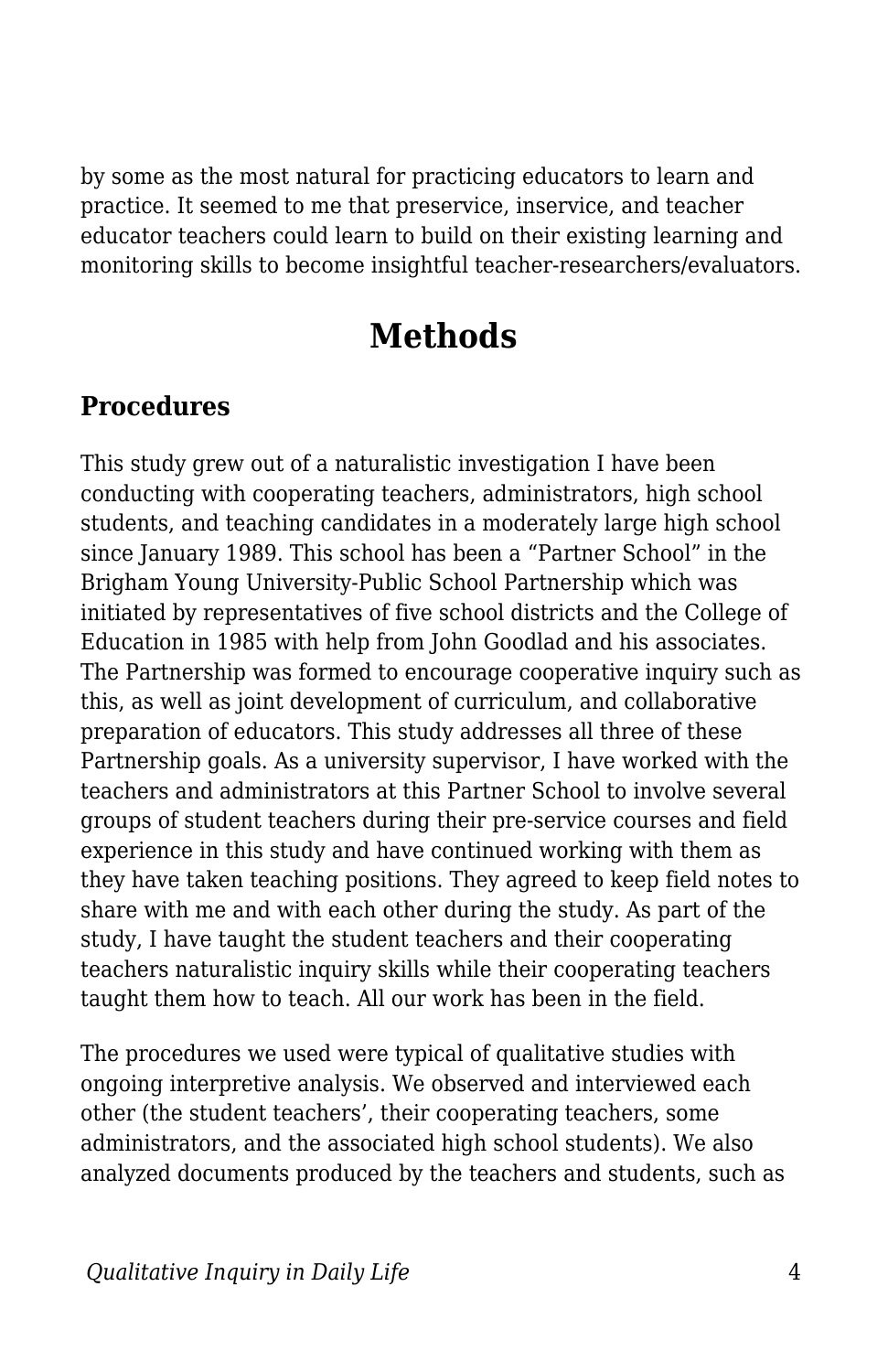by some as the most natural for practicing educators to learn and practice. It seemed to me that preservice, inservice, and teacher educator teachers could learn to build on their existing learning and monitoring skills to become insightful teacher-researchers/evaluators.

## **Methods**

#### **Procedures**

This study grew out of a naturalistic investigation I have been conducting with cooperating teachers, administrators, high school students, and teaching candidates in a moderately large high school since January 1989. This school has been a "Partner School" in the Brigham Young University-Public School Partnership which was initiated by representatives of five school districts and the College of Education in 1985 with help from John Goodlad and his associates. The Partnership was formed to encourage cooperative inquiry such as this, as well as joint development of curriculum, and collaborative preparation of educators. This study addresses all three of these Partnership goals. As a university supervisor, I have worked with the teachers and administrators at this Partner School to involve several groups of student teachers during their pre-service courses and field experience in this study and have continued working with them as they have taken teaching positions. They agreed to keep field notes to share with me and with each other during the study. As part of the study, I have taught the student teachers and their cooperating teachers naturalistic inquiry skills while their cooperating teachers taught them how to teach. All our work has been in the field.

The procedures we used were typical of qualitative studies with ongoing interpretive analysis. We observed and interviewed each other (the student teachers', their cooperating teachers, some administrators, and the associated high school students). We also analyzed documents produced by the teachers and students, such as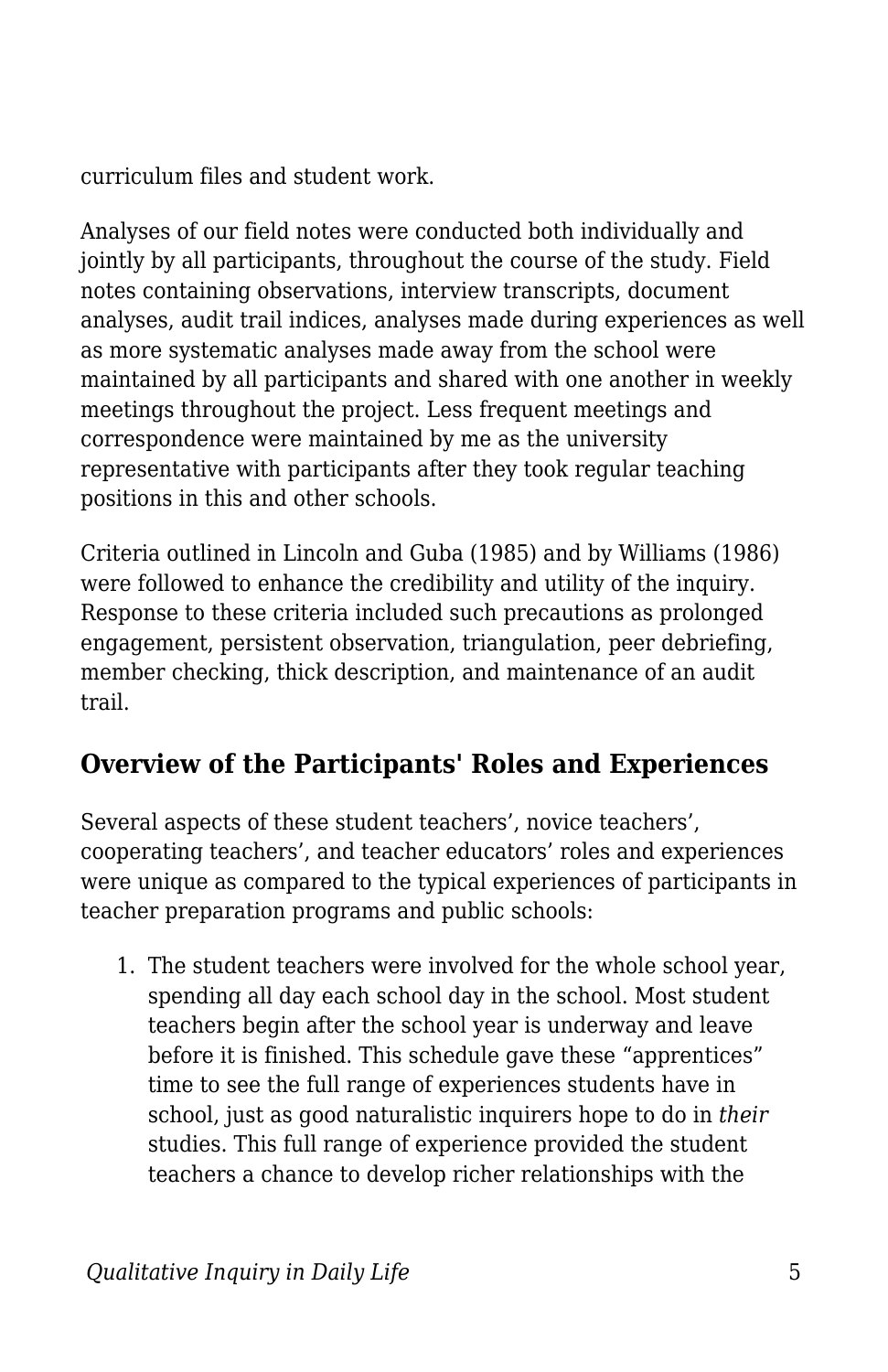curriculum files and student work.

Analyses of our field notes were conducted both individually and jointly by all participants, throughout the course of the study. Field notes containing observations, interview transcripts, document analyses, audit trail indices, analyses made during experiences as well as more systematic analyses made away from the school were maintained by all participants and shared with one another in weekly meetings throughout the project. Less frequent meetings and correspondence were maintained by me as the university representative with participants after they took regular teaching positions in this and other schools.

Criteria outlined in Lincoln and Guba (1985) and by Williams (1986) were followed to enhance the credibility and utility of the inquiry. Response to these criteria included such precautions as prolonged engagement, persistent observation, triangulation, peer debriefing, member checking, thick description, and maintenance of an audit trail.

#### **Overview of the Participants' Roles and Experiences**

Several aspects of these student teachers', novice teachers', cooperating teachers', and teacher educators' roles and experiences were unique as compared to the typical experiences of participants in teacher preparation programs and public schools:

1. The student teachers were involved for the whole school year, spending all day each school day in the school. Most student teachers begin after the school year is underway and leave before it is finished. This schedule gave these "apprentices" time to see the full range of experiences students have in school, just as good naturalistic inquirers hope to do in *their* studies. This full range of experience provided the student teachers a chance to develop richer relationships with the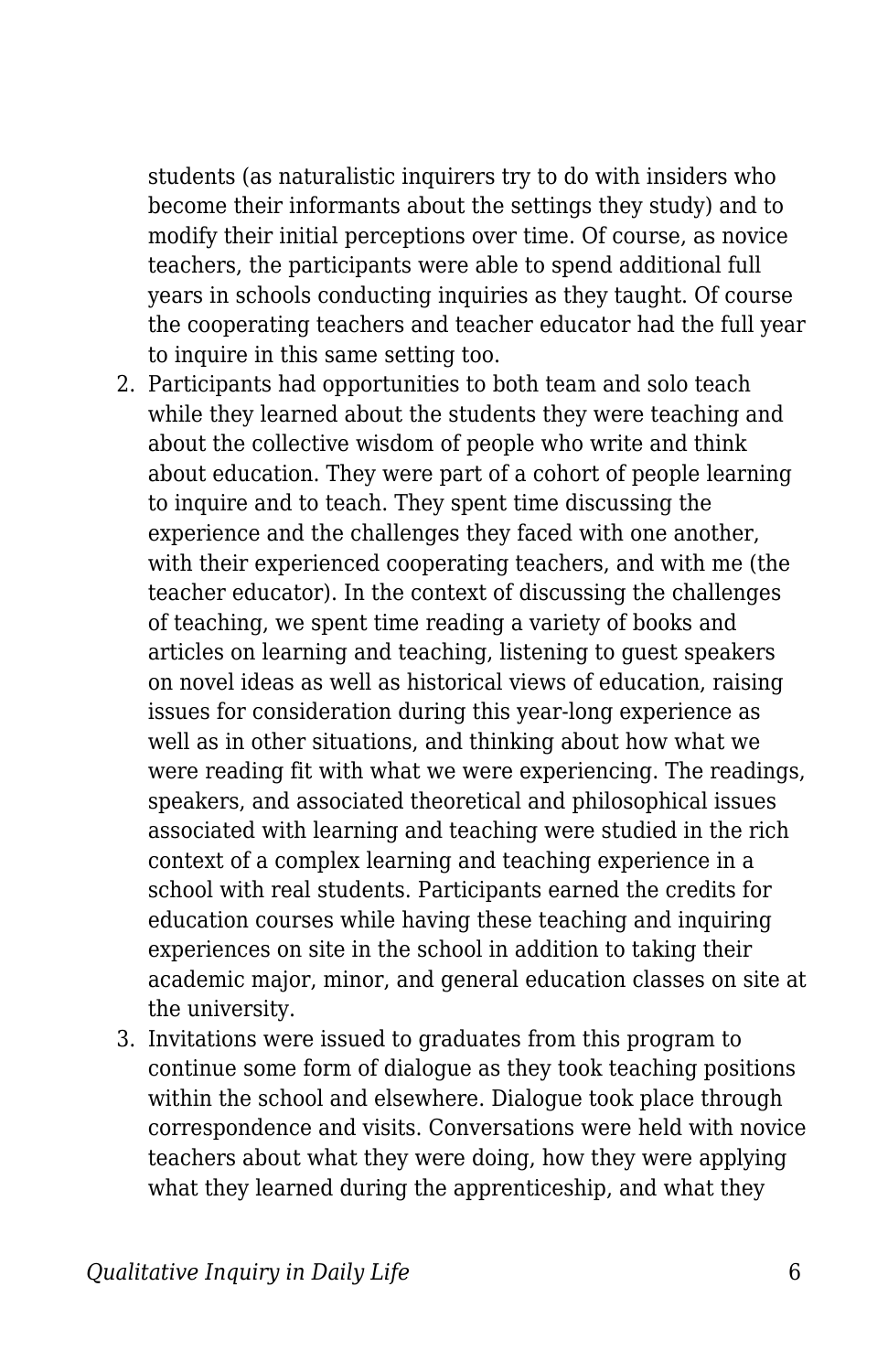students (as naturalistic inquirers try to do with insiders who become their informants about the settings they study) and to modify their initial perceptions over time. Of course, as novice teachers, the participants were able to spend additional full years in schools conducting inquiries as they taught. Of course the cooperating teachers and teacher educator had the full year to inquire in this same setting too.

- 2. Participants had opportunities to both team and solo teach while they learned about the students they were teaching and about the collective wisdom of people who write and think about education. They were part of a cohort of people learning to inquire and to teach. They spent time discussing the experience and the challenges they faced with one another, with their experienced cooperating teachers, and with me (the teacher educator). In the context of discussing the challenges of teaching, we spent time reading a variety of books and articles on learning and teaching, listening to guest speakers on novel ideas as well as historical views of education, raising issues for consideration during this year-long experience as well as in other situations, and thinking about how what we were reading fit with what we were experiencing. The readings, speakers, and associated theoretical and philosophical issues associated with learning and teaching were studied in the rich context of a complex learning and teaching experience in a school with real students. Participants earned the credits for education courses while having these teaching and inquiring experiences on site in the school in addition to taking their academic major, minor, and general education classes on site at the university.
- 3. Invitations were issued to graduates from this program to continue some form of dialogue as they took teaching positions within the school and elsewhere. Dialogue took place through correspondence and visits. Conversations were held with novice teachers about what they were doing, how they were applying what they learned during the apprenticeship, and what they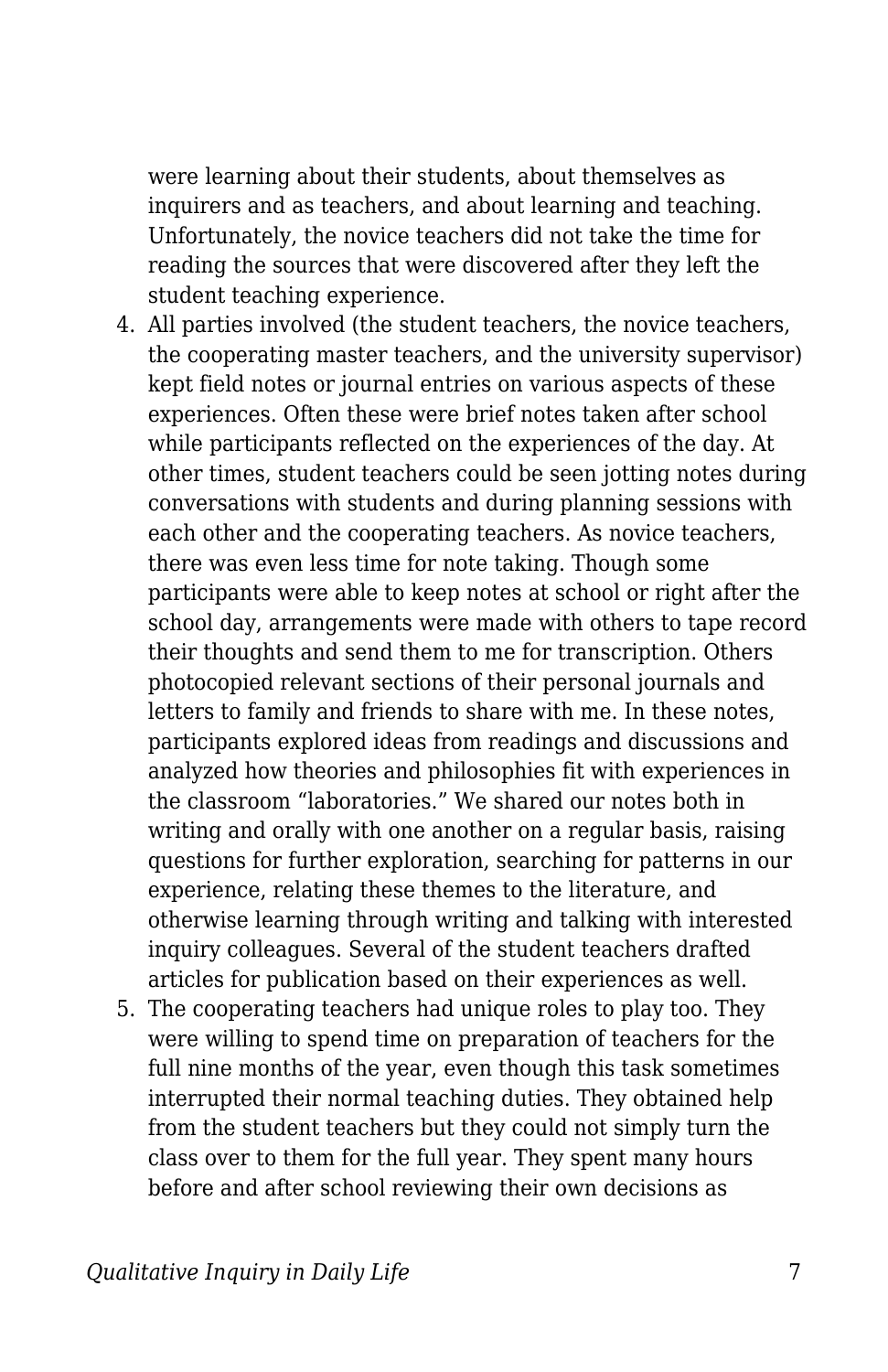were learning about their students, about themselves as inquirers and as teachers, and about learning and teaching. Unfortunately, the novice teachers did not take the time for reading the sources that were discovered after they left the student teaching experience.

- 4. All parties involved (the student teachers, the novice teachers, the cooperating master teachers, and the university supervisor) kept field notes or journal entries on various aspects of these experiences. Often these were brief notes taken after school while participants reflected on the experiences of the day. At other times, student teachers could be seen jotting notes during conversations with students and during planning sessions with each other and the cooperating teachers. As novice teachers, there was even less time for note taking. Though some participants were able to keep notes at school or right after the school day, arrangements were made with others to tape record their thoughts and send them to me for transcription. Others photocopied relevant sections of their personal journals and letters to family and friends to share with me. In these notes, participants explored ideas from readings and discussions and analyzed how theories and philosophies fit with experiences in the classroom "laboratories." We shared our notes both in writing and orally with one another on a regular basis, raising questions for further exploration, searching for patterns in our experience, relating these themes to the literature, and otherwise learning through writing and talking with interested inquiry colleagues. Several of the student teachers drafted articles for publication based on their experiences as well.
- 5. The cooperating teachers had unique roles to play too. They were willing to spend time on preparation of teachers for the full nine months of the year, even though this task sometimes interrupted their normal teaching duties. They obtained help from the student teachers but they could not simply turn the class over to them for the full year. They spent many hours before and after school reviewing their own decisions as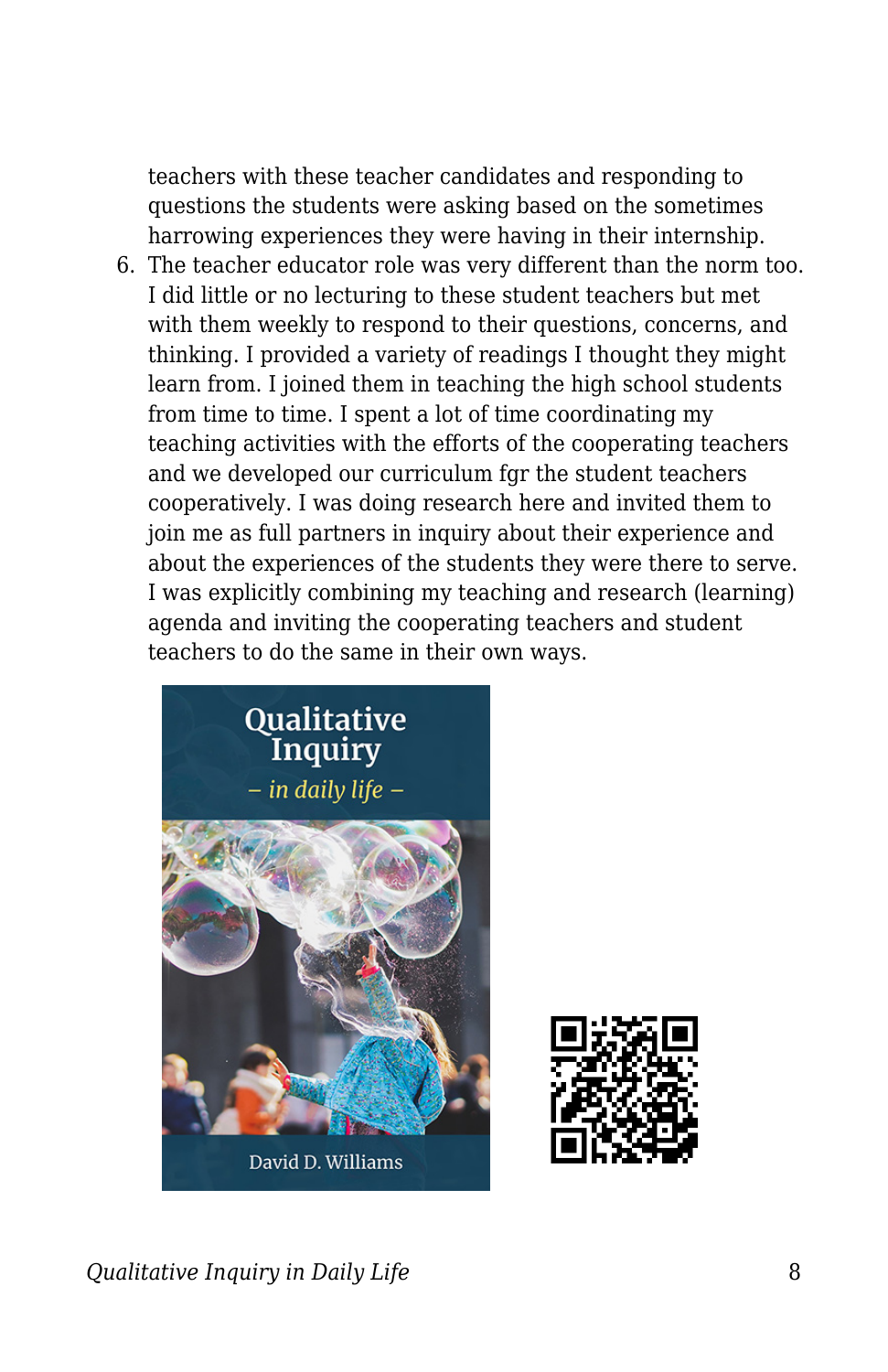teachers with these teacher candidates and responding to questions the students were asking based on the sometimes harrowing experiences they were having in their internship.

6. The teacher educator role was very different than the norm too. I did little or no lecturing to these student teachers but met with them weekly to respond to their questions, concerns, and thinking. I provided a variety of readings I thought they might learn from. I joined them in teaching the high school students from time to time. I spent a lot of time coordinating my teaching activities with the efforts of the cooperating teachers and we developed our curriculum fgr the student teachers cooperatively. I was doing research here and invited them to join me as full partners in inquiry about their experience and about the experiences of the students they were there to serve. I was explicitly combining my teaching and research (learning) agenda and inviting the cooperating teachers and student teachers to do the same in their own ways.





*Qualitative Inquiry in Daily Life* 8